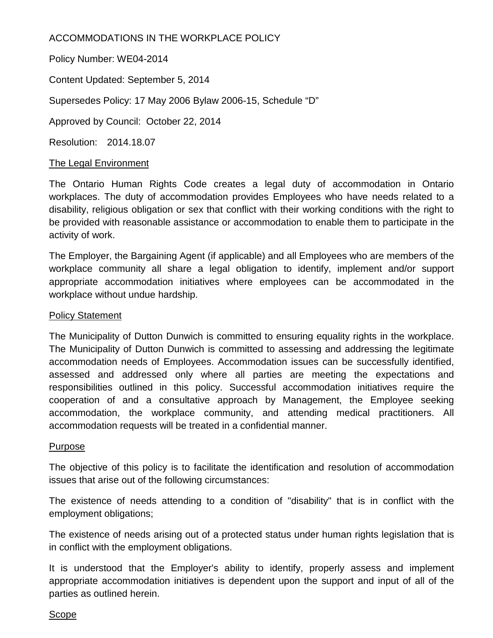# ACCOMMODATIONS IN THE WORKPLACE POLICY

Policy Number: WE04-2014

Content Updated: September 5, 2014

Supersedes Policy: 17 May 2006 Bylaw 2006-15, Schedule "D"

Approved by Council: October 22, 2014

Resolution: 2014.18.07

# The Legal Environment

The Ontario Human Rights Code creates a legal duty of accommodation in Ontario workplaces. The duty of accommodation provides Employees who have needs related to a disability, religious obligation or sex that conflict with their working conditions with the right to be provided with reasonable assistance or accommodation to enable them to participate in the activity of work.

The Employer, the Bargaining Agent (if applicable) and all Employees who are members of the workplace community all share a legal obligation to identify, implement and/or support appropriate accommodation initiatives where employees can be accommodated in the workplace without undue hardship.

# Policy Statement

The Municipality of Dutton Dunwich is committed to ensuring equality rights in the workplace. The Municipality of Dutton Dunwich is committed to assessing and addressing the legitimate accommodation needs of Employees. Accommodation issues can be successfully identified, assessed and addressed only where all parties are meeting the expectations and responsibilities outlined in this policy. Successful accommodation initiatives require the cooperation of and a consultative approach by Management, the Employee seeking accommodation, the workplace community, and attending medical practitioners. All accommodation requests will be treated in a confidential manner.

#### Purpose

The objective of this policy is to facilitate the identification and resolution of accommodation issues that arise out of the following circumstances:

The existence of needs attending to a condition of "disability" that is in conflict with the employment obligations;

The existence of needs arising out of a protected status under human rights legislation that is in conflict with the employment obligations.

It is understood that the Employer's ability to identify, properly assess and implement appropriate accommodation initiatives is dependent upon the support and input of all of the parties as outlined herein.

#### Scope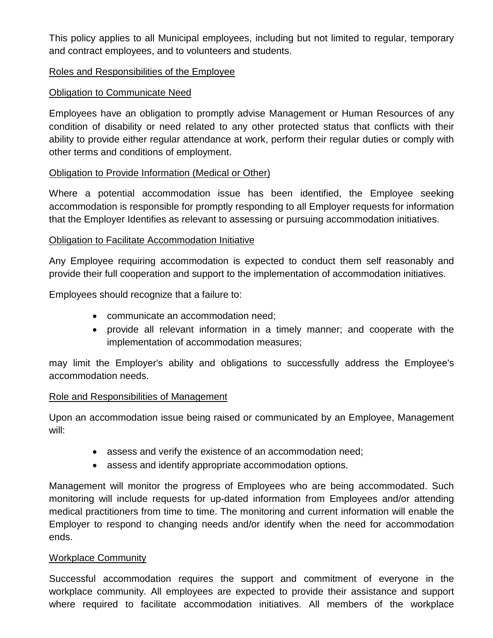This policy applies to all Municipal employees, including but not limited to regular, temporary and contract employees, and to volunteers and students.

### Roles and Responsibilities of the Employee

## Obligation to Communicate Need

Employees have an obligation to promptly advise Management or Human Resources of any condition of disability or need related to any other protected status that conflicts with their ability to provide either regular attendance at work, perform their regular duties or comply with other terms and conditions of employment.

## Obligation to Provide Information (Medical or Other)

Where a potential accommodation issue has been identified, the Employee seeking accommodation is responsible for promptly responding to all Employer requests for information that the Employer Identifies as relevant to assessing or pursuing accommodation initiatives.

#### Obligation to Facilitate Accommodation Initiative

Any Employee requiring accommodation is expected to conduct them self reasonably and provide their full cooperation and support to the implementation of accommodation initiatives.

Employees should recognize that a failure to:

- communicate an accommodation need;
- provide all relevant information in a timely manner; and cooperate with the implementation of accommodation measures;

may limit the Employer's ability and obligations to successfully address the Employee's accommodation needs.

#### Role and Responsibilities of Management

Upon an accommodation issue being raised or communicated by an Employee, Management will:

- assess and verify the existence of an accommodation need;
- assess and identify appropriate accommodation options.

Management will monitor the progress of Employees who are being accommodated. Such monitoring will include requests for up-dated information from Employees and/or attending medical practitioners from time to time. The monitoring and current information will enable the Employer to respond to changing needs and/or identify when the need for accommodation ends.

#### Workplace Community

Successful accommodation requires the support and commitment of everyone in the workplace community. All employees are expected to provide their assistance and support where required to facilitate accommodation initiatives. All members of the workplace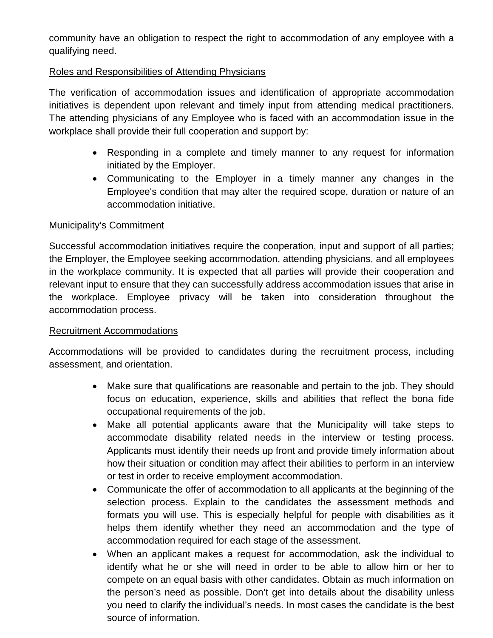community have an obligation to respect the right to accommodation of any employee with a qualifying need.

## Roles and Responsibilities of Attending Physicians

The verification of accommodation issues and identification of appropriate accommodation initiatives is dependent upon relevant and timely input from attending medical practitioners. The attending physicians of any Employee who is faced with an accommodation issue in the workplace shall provide their full cooperation and support by:

- Responding in a complete and timely manner to any request for information initiated by the Employer.
- Communicating to the Employer in a timely manner any changes in the Employee's condition that may alter the required scope, duration or nature of an accommodation initiative.

#### Municipality's Commitment

Successful accommodation initiatives require the cooperation, input and support of all parties; the Employer, the Employee seeking accommodation, attending physicians, and all employees in the workplace community. It is expected that all parties will provide their cooperation and relevant input to ensure that they can successfully address accommodation issues that arise in the workplace. Employee privacy will be taken into consideration throughout the accommodation process.

#### Recruitment Accommodations

Accommodations will be provided to candidates during the recruitment process, including assessment, and orientation.

- Make sure that qualifications are reasonable and pertain to the job. They should focus on education, experience, skills and abilities that reflect the bona fide occupational requirements of the job.
- Make all potential applicants aware that the Municipality will take steps to accommodate disability related needs in the interview or testing process. Applicants must identify their needs up front and provide timely information about how their situation or condition may affect their abilities to perform in an interview or test in order to receive employment accommodation.
- Communicate the offer of accommodation to all applicants at the beginning of the selection process. Explain to the candidates the assessment methods and formats you will use. This is especially helpful for people with disabilities as it helps them identify whether they need an accommodation and the type of accommodation required for each stage of the assessment.
- When an applicant makes a request for accommodation, ask the individual to identify what he or she will need in order to be able to allow him or her to compete on an equal basis with other candidates. Obtain as much information on the person's need as possible. Don't get into details about the disability unless you need to clarify the individual's needs. In most cases the candidate is the best source of information.